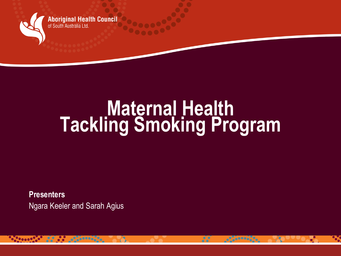

**Aboriginal Health Council** of South Australia Ltd

# **Maternal Health Tackling Smoking Program**

 $\frac{1}{2}$ 

 $e^{0}$  ,  $e^{0}$  ,  $e^{0}$ 

**Presenters**  Ngara Keeler and Sarah Agius

**Paraget Company**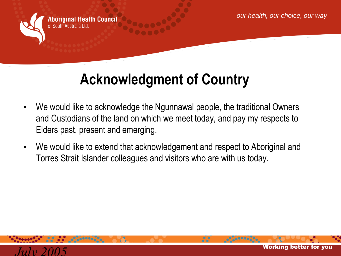

**Aboriginal Health Council** of South Australia I td

#### **Acknowledgment of Country**

- We would like to acknowledge the Ngunnawal people, the traditional Owners and Custodians of the land on which we meet today, and pay my respects to Elders past, present and emerging.
- We would like to extend that acknowledgement and respect to Aboriginal and Torres Strait Islander colleagues and visitors who are with us today.

88

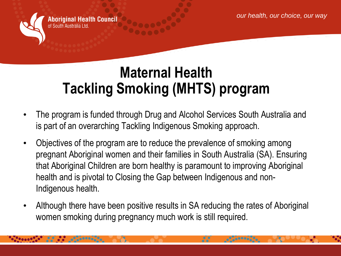

**Aboriginal Health Council** 

#### **Maternal Health Tackling Smoking (MHTS) program**

- The program is funded through Drug and Alcohol Services South Australia and is part of an overarching Tackling Indigenous Smoking approach.
- Objectives of the program are to reduce the prevalence of smoking among pregnant Aboriginal women and their families in South Australia (SA). Ensuring that Aboriginal Children are born healthy is paramount to improving Aboriginal health and is pivotal to Closing the Gap between Indigenous and non-Indigenous health.
- Although there have been positive results in SA reducing the rates of Aboriginal women smoking during pregnancy much work is still required.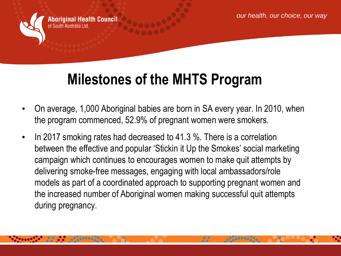

**Aboriginal Health Council** 

#### **Milestones of the MHTS Program**

- On average, 1,000 Aboriginal babies are born in SA every year. In 2010, when the program commenced, 52.9% of pregnant women were smokers.
- In 2017 smoking rates had decreased to 41.3 %. There is a correlation between the effective and popular 'Stickin it Up the Smokes' social marketing campaign which continues to encourages women to make quit attempts by delivering smoke-free messages, engaging with local ambassadors/role models as part of a coordinated approach to supporting pregnant women and the increased number of Aboriginal women making successful quit attempts during pregnancy.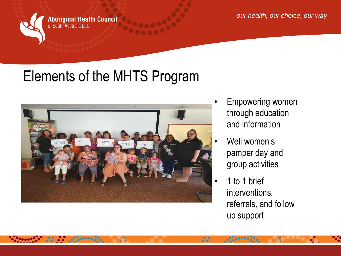

**Aboriginal Health Council** of South Australia Ltd.

*our health, our choice, our way*

### Elements of the MHTS Program



- **Empowering women** through education and information
- Well women's pamper day and group activities
- 1 to 1 brief interventions, referrals, and follow up support

я.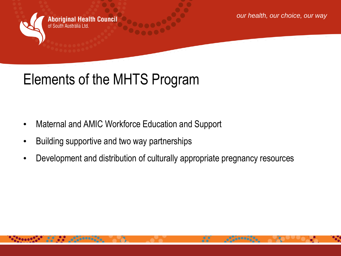**Aboriginal Health Council** of South Australia Ltd

*our health, our choice, our way*

## Elements of the MHTS Program

- Maternal and AMIC Workforce Education and Support
- Building supportive and two way partnerships
- Development and distribution of culturally appropriate pregnancy resources

я.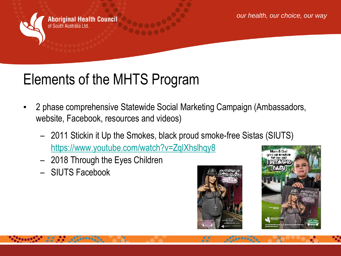

**Aboriginal Health Council** of South Australia Ltd.

### Elements of the MHTS Program

- 2 phase comprehensive Statewide Social Marketing Campaign (Ambassadors, website, Facebook, resources and videos)
	- 2011 Stickin it Up the Smokes, black proud smoke-free Sistas (SIUTS) <https://www.youtube.com/watch?v=ZqlXhslhqy8>
	- 2018 Through the Eyes Children
	- SIUTS Facebook



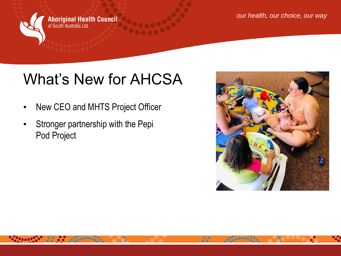

**Aboriginal Health Council** of South Australia Ltd.

### What's New for AHCSA

- New CEO and MHTS Project Officer
- Stronger partnership with the Pepi Pod Project



я.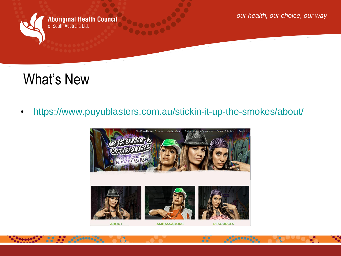

 $\bullet$ .  $\bullet$   $\bullet$   $\bullet$   $\bullet$ 

**Aboriginal Health Council** of South Australia Ltd.

*our health, our choice, our way*

#### What's New

**All of Carterine** 

• <https://www.puyublasters.com.au/stickin-it-up-the-smokes/about/>



 $\frac{1}{2}$ 

 $-0.000000$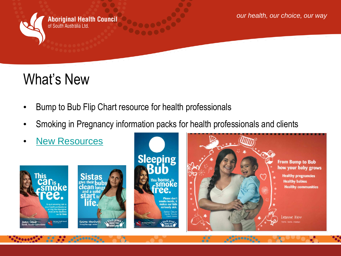

**Aboriginal Health Council** of South Australia Ltd.

#### What's New

- Bump to Bub Flip Chart resource for health professionals
- Smoking in Pregnancy information packs for health professionals and clients
- **[New Resources](https://www.puyublasters.com.au/stickin-it-up-the-smokes/resources/)**







88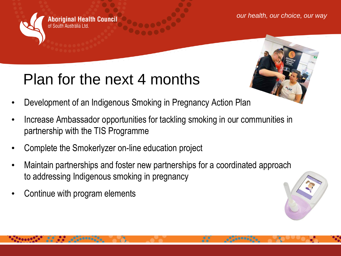**Aboriginal Health Council** of South Australia I td

- Plan for the next 4 months
- Development of an Indigenous Smoking in Pregnancy Action Plan
- Increase Ambassador opportunities for tackling smoking in our communities in partnership with the TIS Programme
- Complete the Smokerlyzer on-line education project
- Maintain partnerships and foster new partnerships for a coordinated approach to addressing Indigenous smoking in pregnancy
- Continue with program elements